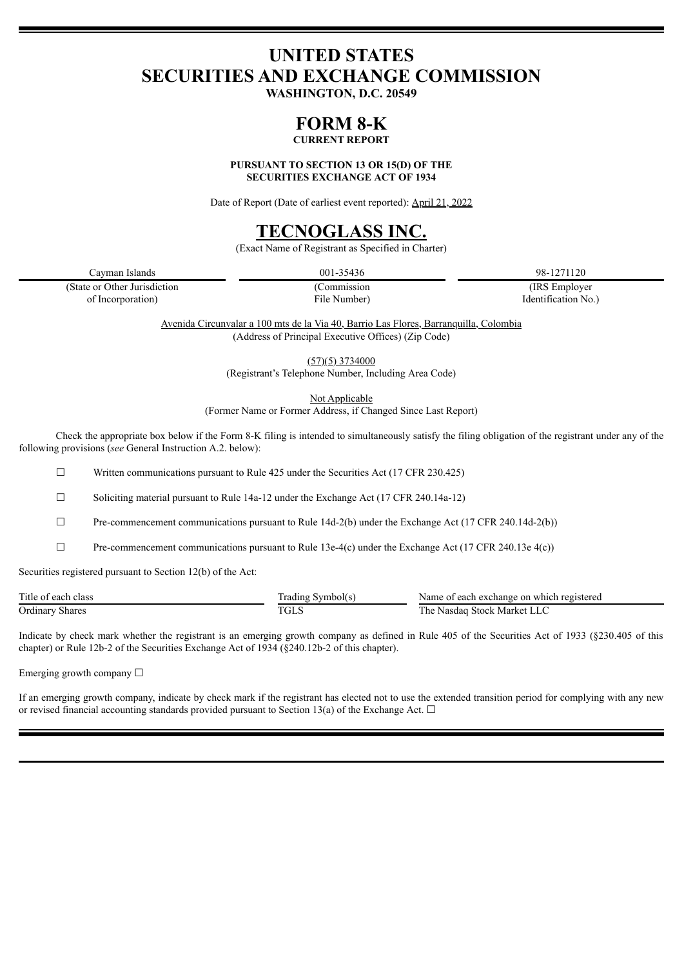# **UNITED STATES SECURITIES AND EXCHANGE COMMISSION**

**WASHINGTON, D.C. 20549**

## **FORM 8-K**

**CURRENT REPORT**

**PURSUANT TO SECTION 13 OR 15(D) OF THE SECURITIES EXCHANGE ACT OF 1934**

Date of Report (Date of earliest event reported): April 21, 2022

# **TECNOGLASS INC.**

(Exact Name of Registrant as Specified in Charter)

Cayman Islands 001-35436 98-1271120

(State or Other Jurisdiction (Commission (IRS Employer of Incorporation) File Number) Identification No.)

Avenida Circunvalar a 100 mts de la Via 40, Barrio Las Flores, Barranquilla, Colombia (Address of Principal Executive Offices) (Zip Code)

> (57)(5) 3734000 (Registrant's Telephone Number, Including Area Code)

> > Not Applicable

(Former Name or Former Address, if Changed Since Last Report)

Check the appropriate box below if the Form 8-K filing is intended to simultaneously satisfy the filing obligation of the registrant under any of the following provisions (*see* General Instruction A.2. below):

 $\Box$  Written communications pursuant to Rule 425 under the Securities Act (17 CFR 230.425)

☐ Soliciting material pursuant to Rule 14a-12 under the Exchange Act (17 CFR 240.14a-12)

 $\Box$  Pre-commencement communications pursuant to Rule 14d-2(b) under the Exchange Act (17 CFR 240.14d-2(b))

 $\Box$  Pre-commencement communications pursuant to Rule 13e-4(c) under the Exchange Act (17 CFR 240.13e 4(c))

Securities registered pursuant to Section 12(b) of the Act:

| Title of each<br>class | Symbol(s<br>rading                | Name of each exchange on which registered    |
|------------------------|-----------------------------------|----------------------------------------------|
| <b>Ordinary Shares</b> | <b>TOT</b><br>$1$ GL <sub>b</sub> | ı Stock Market L<br>l he<br>Nasdag<br>L LIA. |

Indicate by check mark whether the registrant is an emerging growth company as defined in Rule 405 of the Securities Act of 1933 (§230.405 of this chapter) or Rule 12b-2 of the Securities Exchange Act of 1934 (§240.12b-2 of this chapter).

Emerging growth company  $\Box$ 

If an emerging growth company, indicate by check mark if the registrant has elected not to use the extended transition period for complying with any new or revised financial accounting standards provided pursuant to Section 13(a) of the Exchange Act.  $\Box$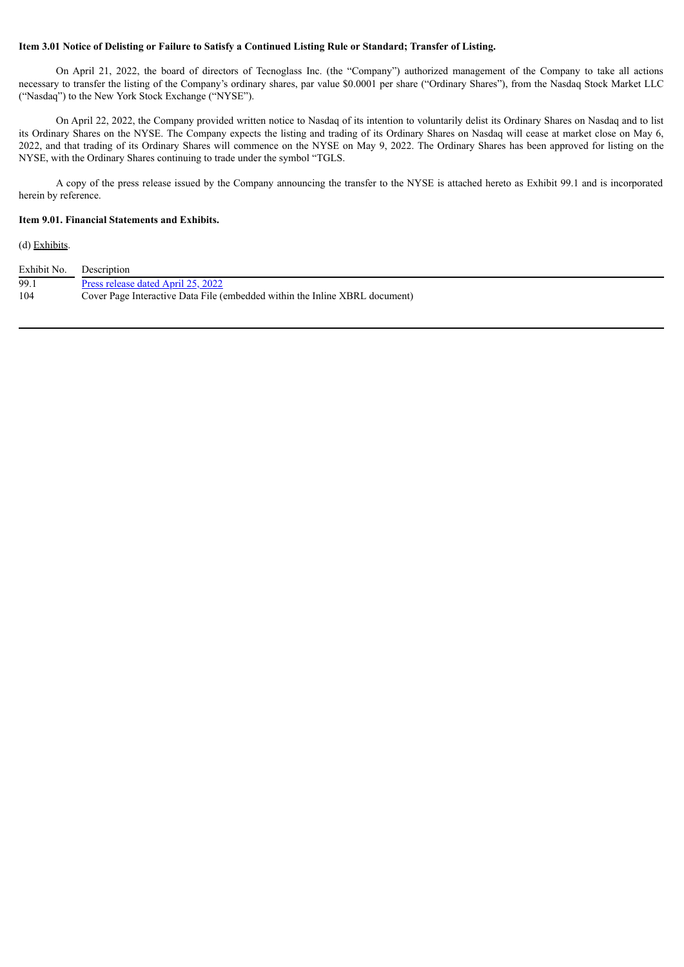### Item 3.01 Notice of Delisting or Failure to Satisfy a Continued Listing Rule or Standard; Transfer of Listing.

On April 21, 2022, the board of directors of Tecnoglass Inc. (the "Company") authorized management of the Company to take all actions necessary to transfer the listing of the Company's ordinary shares, par value \$0.0001 per share ("Ordinary Shares"), from the Nasdaq Stock Market LLC ("Nasdaq") to the New York Stock Exchange ("NYSE").

On April 22, 2022, the Company provided written notice to Nasdaq of its intention to voluntarily delist its Ordinary Shares on Nasdaq and to list its Ordinary Shares on the NYSE. The Company expects the listing and trading of its Ordinary Shares on Nasdaq will cease at market close on May 6, 2022, and that trading of its Ordinary Shares will commence on the NYSE on May 9, 2022. The Ordinary Shares has been approved for listing on the NYSE, with the Ordinary Shares continuing to trade under the symbol "TGLS.

A copy of the press release issued by the Company announcing the transfer to the NYSE is attached hereto as Exhibit 99.1 and is incorporated herein by reference.

### **Item 9.01. Financial Statements and Exhibits.**

(d) Exhibits.

| Exhibit No. | Description                                                                 |
|-------------|-----------------------------------------------------------------------------|
| 99.1        | Press release dated April 25, 2022                                          |
| 104         | Cover Page Interactive Data File (embedded within the Inline XBRL document) |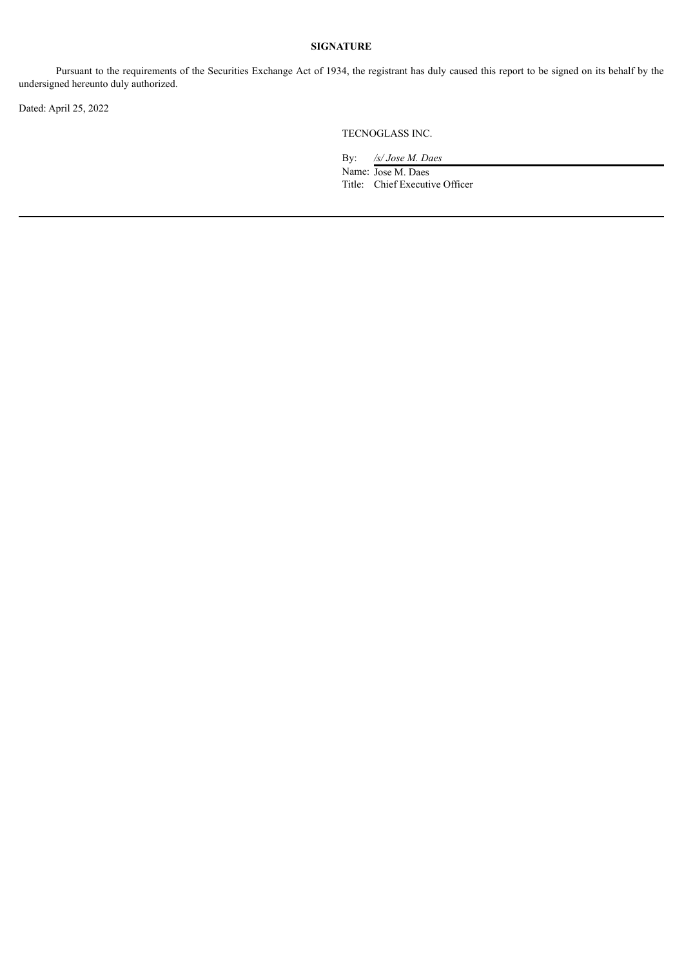### **SIGNATURE**

Pursuant to the requirements of the Securities Exchange Act of 1934, the registrant has duly caused this report to be signed on its behalf by the undersigned hereunto duly authorized.

Dated: April 25, 2022

TECNOGLASS INC.

By: */s/ Jose M. Daes* Name: Jose M. Daes Title: Chief Executive Officer